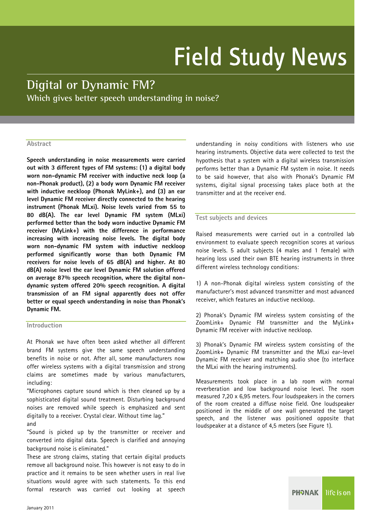# **Field Study News**

# **Digital or Dynamic FM? Which gives better speech understanding in noise?**

# **Abstract**

**Speech understanding in noise measurements were carried out with 3 different types of FM systems: (1) a digital body worn non-dynamic FM receiver with inductive neck loop (a non-Phonak product), (2) a body worn Dynamic FM receiver with inductive neckloop (Phonak MyLink+), and (3) an ear level Dynamic FM receiver directly connected to the hearing instrument (Phonak MLxi). Noise levels varied from 55 to 80 dB(A). The ear level Dynamic FM system (MLxi) performed better than the body worn inductive Dynamic FM receiver (MyLink+) with the difference in performance increasing with increasing noise levels. The digital body worn non-dynamic FM system with inductive neckloop performed significantly worse than both Dynamic FM receivers for noise levels of 65 dB(A) and higher. At 80 dB(A) noise level the ear level Dynamic FM solution offered on average 87% speech recognition, where the digital nondynamic system offered 20% speech recognition. A digital transmission of an FM signal apparently does not offer better or equal speech understanding in noise than Phonak's Dynamic FM.** 

### **Introduction**

At Phonak we have often been asked whether all different brand FM systems give the same speech understanding benefits in noise or not. After all, some manufacturers now offer wireless systems with a digital transmission and strong claims are sometimes made by various manufacturers, including:

"Microphones capture sound which is then cleaned up by a sophisticated digital sound treatment. Disturbing background noises are removed while speech is emphasized and sent digitally to a receiver. Crystal clear. Without time lag." and

"Sound is picked up by the transmitter or receiver and converted into digital data. Speech is clarified and annoying background noise is eliminated."

These are strong claims, stating that certain digital products remove all background noise. This however is not easy to do in practice and it remains to be seen whether users in real live situations would agree with such statements. To this end formal research was carried out looking at speech understanding in noisy conditions with listeners who use hearing instruments. Objective data were collected to test the hypothesis that a system with a digital wireless transmission performs better than a Dynamic FM system in noise. It needs to be said however, that also with Phonak's Dynamic FM systems, digital signal processing takes place both at the transmitter and at the receiver end.

#### **Test subjects and devices**

Raised measurements were carried out in a controlled lab environment to evaluate speech recognition scores at various noise levels. 5 adult subjects (4 males and 1 female) with hearing loss used their own BTE hearing instruments in three different wireless technology conditions:

1) A non-Phonak digital wireless system consisting of the manufacturer's most advanced transmitter and most advanced receiver, which features an inductive neckloop.

2) Phonak's Dynamic FM wireless system consisting of the ZoomLink+ Dynamic FM transmitter and the MyLink+ Dynamic FM receiver with inductive neckloop.

3) Phonak's Dynamic FM wireless system consisting of the ZoomLink+ Dynamic FM transmitter and the MLxi ear-level Dynamic FM receiver and matching audio shoe (to interface the MLxi with the hearing instruments).

Measurements took place in a lab room with normal reverberation and low background noise level. The room measured 7,20 x 6,95 meters. Four loudspeakers in the corners of the room created a diffuse noise field. One loudspeaker positioned in the middle of one wall generated the target speech, and the listener was positioned opposite that loudspeaker at a distance of 4,5 meters (see Figure 1).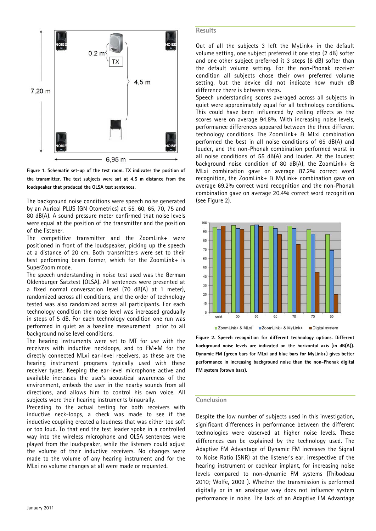

**Figure 1. Schematic set-up of the test room. TX indicates the position of the transmitter. The test subjects were sat at 4,5 m distance from the loudspeaker that produced the OLSA test sentences.** 

The background noise conditions were speech noise generated by an Aurical PLUS (GN Otometrics) at 55, 60, 65, 70, 75 and 80 dB(A). A sound pressure meter confirmed that noise levels were equal at the position of the transmitter and the position of the listener.

The competitive transmitter and the ZoomLink+ were positioned in front of the loudspeaker, picking up the speech at a distance of 20 cm. Both transmitters were set to their best performing beam former, which for the ZoomLink+ is SuperZoom mode.

The speech understanding in noise test used was the German Oldenburger Satztest (OLSA). All sentences were presented at a fixed normal conversation level (70 dB(A) at 1 meter), randomized across all conditions, and the order of technology tested was also randomized across all participants. For each technology condition the noise level was increased gradually in steps of 5 dB. For each technology condition one run was performed in quiet as a baseline measurement prior to all background noise level conditions.

The hearing instruments were set to MT for use with the receivers with inductive neckloops, and to FM+M for the directly connected MLxi ear-level receivers, as these are the hearing instrument programs typically used with these receiver types. Keeping the ear-level microphone active and available increases the user's acoustical awareness of the environment, embeds the user in the nearby sounds from all directions, and allows him to control his own voice. All subjects wore their hearing instruments binaurally.

Preceding to the actual testing for both receivers with inductive neck-loops, a check was made to see if the inductive coupling created a loudness that was either too soft or too loud. To that end the test leader spoke in a controlled way into the wireless microphone and OLSA sentences were played from the loudspeaker, while the listeners could adjust the volume of their inductive receivers. No changes were made to the volume of any hearing instrument and for the MLxi no volume changes at all were made or requested.

#### **Results**

Out of all the subjects 3 left the MyLink+ in the default volume setting, one subject preferred it one step (2 dB) softer and one other subject preferred it 3 steps (6 dB) softer than the default volume setting. For the non-Phonak receiver condition all subjects chose their own preferred volume setting, but the device did not indicate how much dB difference there is between steps.

Speech understanding scores averaged across all subjects in quiet were approximately equal for all technology conditions. This could have been influenced by ceiling effects as the scores were on average 94.8%. With increasing noise levels, performance differences appeared between the three different technology conditions. The ZoomLink+ & MLxi combination performed the best in all noise conditions of 65 dB(A) and louder, and the non-Phonak combination performed worst in all noise conditions of 55 dB(A) and louder. At the loudest background noise condition of 80 dB(A), the ZoomLink+ & MLxi combination gave on average 87.2% correct word recognition, the ZoomLink+ & MyLink+ combination gave on average 69.2% correct word recognition and the non-Phonak combination gave on average 20.4% correct word recognition (see Figure 2).



**Figure 2. Speech recognition for different technology options. Different background noise levels are indicated on the horizontal axis (in dB(A)). Dynamic FM (green bars for MLxi and blue bars for MyLink+) gives better performance in increasing background noise than the non-Phonak digital FM system (brown bars).** 

#### **Conclusion**

Despite the low number of subjects used in this investigation, significant differences in performance between the different technologies were observed at higher noise levels. These differences can be explained by the technology used. The Adaptive FM Advantage of Dynamic FM increases the Signal to Noise Ratio (SNR) at the listener's ear, irrespective of the hearing instrument or cochlear implant, for increasing noise levels compared to non-dynamic FM systems (Thibodeau 2010; Wolfe, 2009 ). Whether the transmission is performed digitally or in an analogue way does not influence system performance in noise. The lack of an Adaptive FM Advantage